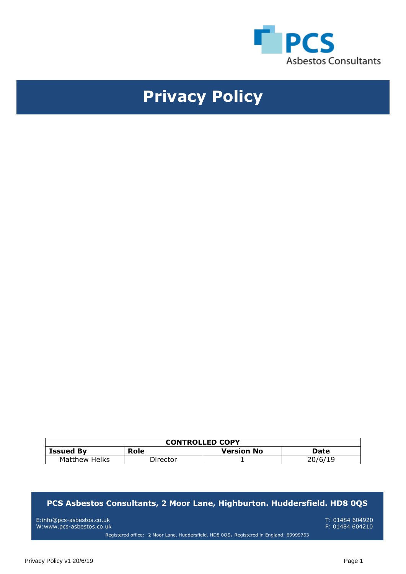

# **Privacy Policy**

| <b>CONTROLLED COPY</b> |          |                   |         |  |
|------------------------|----------|-------------------|---------|--|
| <b>Issued By</b>       | Role     | <b>Version No</b> | Date    |  |
| <b>Matthew Helks</b>   | Director |                   | 20/6/19 |  |

# **PCS Asbestos Consultants, 2 Moor Lane, Highburton. Huddersfield. HD8 0QS**

E:info@pcs-asbestos.co.uk T: 01484 604920 W:www.pcs-asbestos.co.uk

Registered office:- 2 Moor Lane, Huddersfield. HD8 0QS. Registered in England: 69999763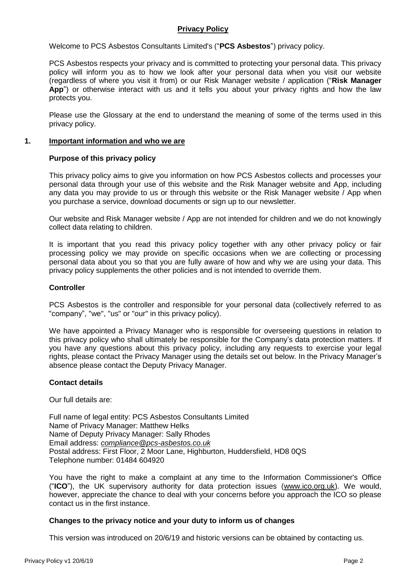# **Privacy Policy**

Welcome to PCS Asbestos Consultants Limited's ("**PCS Asbestos**") privacy policy.

PCS Asbestos respects your privacy and is committed to protecting your personal data. This privacy policy will inform you as to how we look after your personal data when you visit our website (regardless of where you visit it from) or our Risk Manager website / application ("**Risk Manager App**") or otherwise interact with us and it tells you about your privacy rights and how the law protects you.

Please use the Glossary at the end to understand the meaning of some of the terms used in this privacy policy.

## **1. Important information and who we are**

## **Purpose of this privacy policy**

This privacy policy aims to give you information on how PCS Asbestos collects and processes your personal data through your use of this website and the Risk Manager website and App, including any data you may provide to us or through this website or the Risk Manager website / App when you purchase a service, download documents or sign up to our newsletter.

Our website and Risk Manager website / App are not intended for children and we do not knowingly collect data relating to children.

It is important that you read this privacy policy together with any other privacy policy or fair processing policy we may provide on specific occasions when we are collecting or processing personal data about you so that you are fully aware of how and why we are using your data. This privacy policy supplements the other policies and is not intended to override them.

## **Controller**

PCS Asbestos is the controller and responsible for your personal data (collectively referred to as "company", "we", "us" or "our" in this privacy policy).

We have appointed a Privacy Manager who is responsible for overseeing questions in relation to this privacy policy who shall ultimately be responsible for the Company's data protection matters. If you have any questions about this privacy policy, including any requests to exercise your legal rights, please contact the Privacy Manager using the details set out below. In the Privacy Manager's absence please contact the Deputy Privacy Manager.

## **Contact details**

Our full details are:

Full name of legal entity: PCS Asbestos Consultants Limited Name of Privacy Manager: Matthew Helks Name of Deputy Privacy Manager: Sally Rhodes Email address: *[compliance@pcs-asbestos.co.uk](mailto:compliance@pcs-asbestos.co.uk)* Postal address: First Floor, 2 Moor Lane, Highburton, Huddersfield, HD8 0QS Telephone number: 01484 604920

You have the right to make a complaint at any time to the Information Commissioner's Office ("**ICO**"), the UK supervisory authority for data protection issues [\(www.ico.org.uk\)](http://www.ico.org.uk/). We would, however, appreciate the chance to deal with your concerns before you approach the ICO so please contact us in the first instance.

## **Changes to the privacy notice and your duty to inform us of changes**

This version was introduced on 20/6/19 and historic versions can be obtained by contacting us.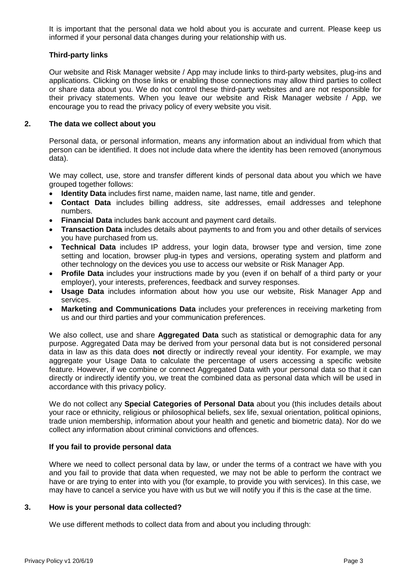It is important that the personal data we hold about you is accurate and current. Please keep us informed if your personal data changes during your relationship with us.

# **Third-party links**

Our website and Risk Manager website / App may include links to third-party websites, plug-ins and applications. Clicking on those links or enabling those connections may allow third parties to collect or share data about you. We do not control these third-party websites and are not responsible for their privacy statements. When you leave our website and Risk Manager website / App, we encourage you to read the privacy policy of every website you visit.

# **2. The data we collect about you**

Personal data, or personal information, means any information about an individual from which that person can be identified. It does not include data where the identity has been removed (anonymous data).

We may collect, use, store and transfer different kinds of personal data about you which we have grouped together follows:

- **Identity Data** includes first name, maiden name, last name, title and gender.
- **Contact Data** includes billing address, site addresses, email addresses and telephone numbers.
- **Financial Data** includes bank account and payment card details.
- **Transaction Data** includes details about payments to and from you and other details of services you have purchased from us.
- **Technical Data** includes IP address, your login data, browser type and version, time zone setting and location, browser plug-in types and versions, operating system and platform and other technology on the devices you use to access our website or Risk Manager App.
- **Profile Data** includes your instructions made by you (even if on behalf of a third party or your employer), your interests, preferences, feedback and survey responses.
- **Usage Data** includes information about how you use our website, Risk Manager App and services.
- **Marketing and Communications Data** includes your preferences in receiving marketing from us and our third parties and your communication preferences.

We also collect, use and share **Aggregated Data** such as statistical or demographic data for any purpose. Aggregated Data may be derived from your personal data but is not considered personal data in law as this data does **not** directly or indirectly reveal your identity. For example, we may aggregate your Usage Data to calculate the percentage of users accessing a specific website feature. However, if we combine or connect Aggregated Data with your personal data so that it can directly or indirectly identify you, we treat the combined data as personal data which will be used in accordance with this privacy policy.

We do not collect any **Special Categories of Personal Data** about you (this includes details about your race or ethnicity, religious or philosophical beliefs, sex life, sexual orientation, political opinions, trade union membership, information about your health and genetic and biometric data). Nor do we collect any information about criminal convictions and offences.

# **If you fail to provide personal data**

Where we need to collect personal data by law, or under the terms of a contract we have with you and you fail to provide that data when requested, we may not be able to perform the contract we have or are trying to enter into with you (for example, to provide you with services). In this case, we may have to cancel a service you have with us but we will notify you if this is the case at the time.

# **3. How is your personal data collected?**

We use different methods to collect data from and about you including through: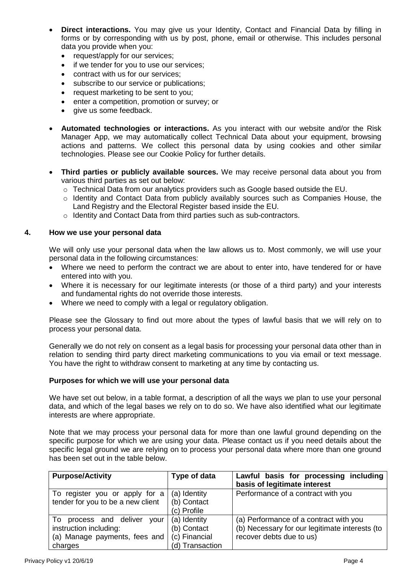- **Direct interactions.** You may give us your Identity, Contact and Financial Data by filling in forms or by corresponding with us by post, phone, email or otherwise. This includes personal data you provide when you:
	- request/apply for our services;
	- if we tender for you to use our services;
	- contract with us for our services;
	- subscribe to our service or publications;
	- request marketing to be sent to you;
	- enter a competition, promotion or survey; or
	- give us some feedback.
- **Automated technologies or interactions.** As you interact with our website and/or the Risk Manager App, we may automatically collect Technical Data about your equipment, browsing actions and patterns. We collect this personal data by using cookies and other similar technologies. Please see our Cookie Policy for further details.
- **Third parties or publicly available sources.** We may receive personal data about you from various third parties as set out below:
	- $\circ$  Technical Data from our analytics providers such as Google based outside the EU.
	- o Identity and Contact Data from publicly availably sources such as Companies House, the Land Registry and the Electoral Register based inside the EU.
	- o Identity and Contact Data from third parties such as sub-contractors.

## **4. How we use your personal data**

We will only use your personal data when the law allows us to. Most commonly, we will use your personal data in the following circumstances:

- Where we need to perform the contract we are about to enter into, have tendered for or have entered into with you.
- Where it is necessary for our legitimate interests (or those of a third party) and your interests and fundamental rights do not override those interests.
- Where we need to comply with a legal or regulatory obligation.

Please see the Glossary to find out more about the types of lawful basis that we will rely on to process your personal data.

Generally we do not rely on consent as a legal basis for processing your personal data other than in relation to sending third party direct marketing communications to you via email or text message. You have the right to withdraw consent to marketing at any time by contacting us.

## **Purposes for which we will use your personal data**

We have set out below, in a table format, a description of all the ways we plan to use your personal data, and which of the legal bases we rely on to do so. We have also identified what our legitimate interests are where appropriate.

Note that we may process your personal data for more than one lawful ground depending on the specific purpose for which we are using your data. Please contact us if you need details about the specific legal ground we are relying on to process your personal data where more than one ground has been set out in the table below.

| <b>Purpose/Activity</b>           | Type of data    | Lawful basis for processing including          |
|-----------------------------------|-----------------|------------------------------------------------|
|                                   |                 | basis of legitimate interest                   |
| To register you or apply for a    | (a) Identity    | Performance of a contract with you             |
| tender for you to be a new client | (b) Contact     |                                                |
|                                   | (c) Profile     |                                                |
| To process and deliver<br>vour    | (a) Identity    | (a) Performance of a contract with you         |
| instruction including:            | (b) Contact     | (b) Necessary for our legitimate interests (to |
| (a) Manage payments, fees and     | (c) Financial   | recover debts due to us)                       |
| charges                           | (d) Transaction |                                                |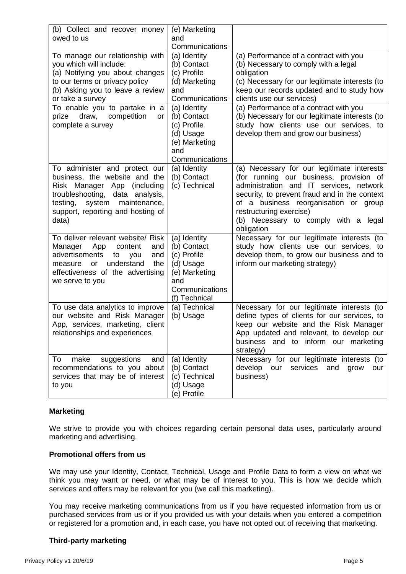| (b) Collect and recover money<br>owed to us                                                                                                                                                                             | (e) Marketing<br>and                                                                                               |                                                                                                                                                                                                                                                                                                             |
|-------------------------------------------------------------------------------------------------------------------------------------------------------------------------------------------------------------------------|--------------------------------------------------------------------------------------------------------------------|-------------------------------------------------------------------------------------------------------------------------------------------------------------------------------------------------------------------------------------------------------------------------------------------------------------|
|                                                                                                                                                                                                                         | Communications                                                                                                     |                                                                                                                                                                                                                                                                                                             |
| To manage our relationship with<br>you which will include:<br>(a) Notifying you about changes<br>to our terms or privacy policy<br>(b) Asking you to leave a review<br>or take a survey                                 | (a) Identity<br>(b) Contact<br>(c) Profile<br>(d) Marketing<br>and<br>Communications                               | (a) Performance of a contract with you<br>(b) Necessary to comply with a legal<br>obligation<br>(c) Necessary for our legitimate interests (to<br>keep our records updated and to study how<br>clients use our services)                                                                                    |
| To enable you to partake in a<br>draw, competition<br>prize<br>or<br>complete a survey                                                                                                                                  | (a) Identity<br>(b) Contact<br>(c) Profile<br>(d) Usage<br>(e) Marketing<br>and<br>Communications                  | (a) Performance of a contract with you<br>(b) Necessary for our legitimate interests (to<br>study how clients use our services, to<br>develop them and grow our business)                                                                                                                                   |
| To administer and protect our<br>business, the website and the<br>Risk Manager App<br>(including<br>troubleshooting,<br>data analysis,<br>system maintenance,<br>testing,<br>support, reporting and hosting of<br>data) | (a) Identity<br>(b) Contact<br>(c) Technical                                                                       | (a) Necessary for our legitimate interests<br>(for running our business, provision of<br>administration and IT services, network<br>security, to prevent fraud and in the context<br>of a business reorganisation or group<br>restructuring exercise)<br>(b) Necessary to comply with a legal<br>obligation |
| To deliver relevant website/ Risk<br>Manager<br>App<br>content<br>and<br>advertisements<br>to<br>and<br>you<br>understand<br>the<br>measure<br>or<br>effectiveness of the advertising<br>we serve to you                | (a) Identity<br>(b) Contact<br>(c) Profile<br>(d) Usage<br>(e) Marketing<br>and<br>Communications<br>(f) Technical | Necessary for our legitimate interests (to<br>study how clients use our services, to<br>develop them, to grow our business and to<br>inform our marketing strategy)                                                                                                                                         |
| To use data analytics to improve<br>our website and Risk Manager<br>App, services, marketing, client<br>relationships and experiences                                                                                   | (a) Technical<br>(b) Usage                                                                                         | Necessary for our legitimate interests (to<br>define types of clients for our services, to<br>keep our website and the Risk Manager<br>App updated and relevant, to develop our<br>business and to inform our marketing<br>strategy)                                                                        |
| To<br>make<br>suggestions<br>and<br>recommendations to you about<br>services that may be of interest<br>to you                                                                                                          | (a) Identity<br>(b) Contact<br>(c) Technical<br>(d) Usage<br>(e) Profile                                           | Necessary for our legitimate interests (to<br>develop our services and<br>grow<br>our<br>business)                                                                                                                                                                                                          |

# **Marketing**

We strive to provide you with choices regarding certain personal data uses, particularly around marketing and advertising.

## **Promotional offers from us**

We may use your Identity, Contact, Technical, Usage and Profile Data to form a view on what we think you may want or need, or what may be of interest to you. This is how we decide which services and offers may be relevant for you (we call this marketing).

You may receive marketing communications from us if you have requested information from us or purchased services from us or if you provided us with your details when you entered a competition or registered for a promotion and, in each case, you have not opted out of receiving that marketing.

# **Third-party marketing**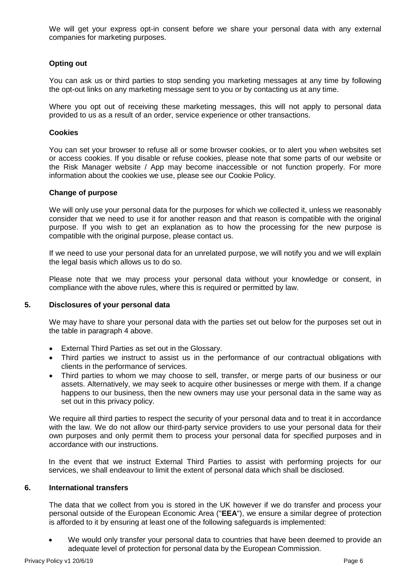We will get your express opt-in consent before we share your personal data with any external companies for marketing purposes.

# **Opting out**

You can ask us or third parties to stop sending you marketing messages at any time by following the opt-out links on any marketing message sent to you or by contacting us at any time.

Where you opt out of receiving these marketing messages, this will not apply to personal data provided to us as a result of an order, service experience or other transactions.

## **Cookies**

You can set your browser to refuse all or some browser cookies, or to alert you when websites set or access cookies. If you disable or refuse cookies, please note that some parts of our website or the Risk Manager website / App may become inaccessible or not function properly. For more information about the cookies we use, please see our Cookie Policy.

## **Change of purpose**

We will only use your personal data for the purposes for which we collected it, unless we reasonably consider that we need to use it for another reason and that reason is compatible with the original purpose. If you wish to get an explanation as to how the processing for the new purpose is compatible with the original purpose, please contact us.

If we need to use your personal data for an unrelated purpose, we will notify you and we will explain the legal basis which allows us to do so.

Please note that we may process your personal data without your knowledge or consent, in compliance with the above rules, where this is required or permitted by law.

## **5. Disclosures of your personal data**

We may have to share your personal data with the parties set out below for the purposes set out in the table in paragraph 4 above.

- External Third Parties as set out in the Glossary.
- Third parties we instruct to assist us in the performance of our contractual obligations with clients in the performance of services.
- Third parties to whom we may choose to sell, transfer, or merge parts of our business or our assets. Alternatively, we may seek to acquire other businesses or merge with them. If a change happens to our business, then the new owners may use your personal data in the same way as set out in this privacy policy.

We require all third parties to respect the security of your personal data and to treat it in accordance with the law. We do not allow our third-party service providers to use your personal data for their own purposes and only permit them to process your personal data for specified purposes and in accordance with our instructions.

In the event that we instruct External Third Parties to assist with performing projects for our services, we shall endeavour to limit the extent of personal data which shall be disclosed.

## **6. International transfers**

The data that we collect from you is stored in the UK however if we do transfer and process your personal outside of the European Economic Area ("**EEA**"), we ensure a similar degree of protection is afforded to it by ensuring at least one of the following safeguards is implemented:

• We would only transfer your personal data to countries that have been deemed to provide an adequate level of protection for personal data by the European Commission.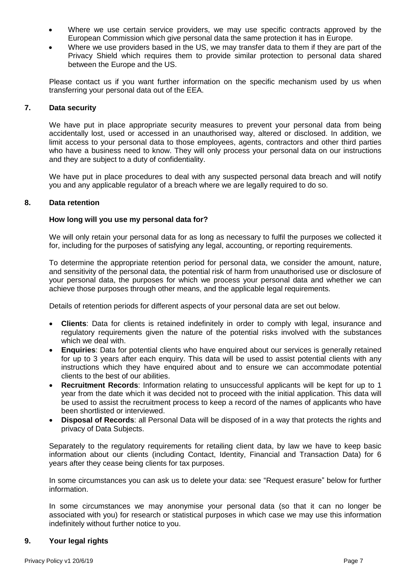- Where we use certain service providers, we may use specific contracts approved by the European Commission which give personal data the same protection it has in Europe.
- Where we use providers based in the US, we may transfer data to them if they are part of the Privacy Shield which requires them to provide similar protection to personal data shared between the Europe and the US.

Please contact us if you want further information on the specific mechanism used by us when transferring your personal data out of the EEA.

## **7. Data security**

We have put in place appropriate security measures to prevent your personal data from being accidentally lost, used or accessed in an unauthorised way, altered or disclosed. In addition, we limit access to your personal data to those employees, agents, contractors and other third parties who have a business need to know. They will only process your personal data on our instructions and they are subject to a duty of confidentiality.

We have put in place procedures to deal with any suspected personal data breach and will notify you and any applicable regulator of a breach where we are legally required to do so.

## **8. Data retention**

## **How long will you use my personal data for?**

We will only retain your personal data for as long as necessary to fulfil the purposes we collected it for, including for the purposes of satisfying any legal, accounting, or reporting requirements.

To determine the appropriate retention period for personal data, we consider the amount, nature, and sensitivity of the personal data, the potential risk of harm from unauthorised use or disclosure of your personal data, the purposes for which we process your personal data and whether we can achieve those purposes through other means, and the applicable legal requirements.

Details of retention periods for different aspects of your personal data are set out below.

- **Clients**: Data for clients is retained indefinitely in order to comply with legal, insurance and regulatory requirements given the nature of the potential risks involved with the substances which we deal with.
- **Enquiries**: Data for potential clients who have enquired about our services is generally retained for up to 3 years after each enquiry. This data will be used to assist potential clients with any instructions which they have enquired about and to ensure we can accommodate potential clients to the best of our abilities.
- **Recruitment Records**: Information relating to unsuccessful applicants will be kept for up to 1 year from the date which it was decided not to proceed with the initial application. This data will be used to assist the recruitment process to keep a record of the names of applicants who have been shortlisted or interviewed.
- **Disposal of Records**: all Personal Data will be disposed of in a way that protects the rights and privacy of Data Subjects.

Separately to the regulatory requirements for retailing client data, by law we have to keep basic information about our clients (including Contact, Identity, Financial and Transaction Data) for 6 years after they cease being clients for tax purposes.

In some circumstances you can ask us to delete your data: see "Request erasure" below for further information.

In some circumstances we may anonymise your personal data (so that it can no longer be associated with you) for research or statistical purposes in which case we may use this information indefinitely without further notice to you.

# **9. Your legal rights**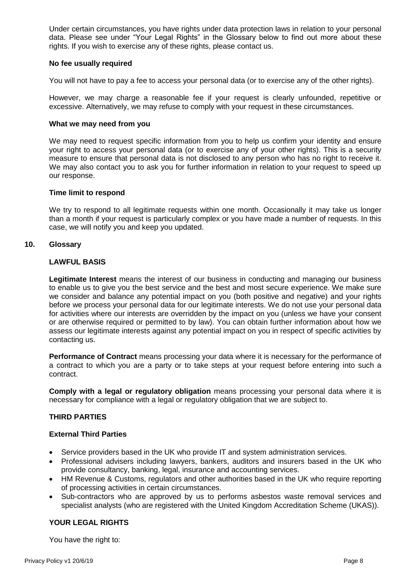Under certain circumstances, you have rights under data protection laws in relation to your personal data. Please see under "Your Legal Rights" in the Glossary below to find out more about these rights. If you wish to exercise any of these rights, please contact us.

## **No fee usually required**

You will not have to pay a fee to access your personal data (or to exercise any of the other rights).

However, we may charge a reasonable fee if your request is clearly unfounded, repetitive or excessive. Alternatively, we may refuse to comply with your request in these circumstances.

## **What we may need from you**

We may need to request specific information from you to help us confirm your identity and ensure your right to access your personal data (or to exercise any of your other rights). This is a security measure to ensure that personal data is not disclosed to any person who has no right to receive it. We may also contact you to ask you for further information in relation to your request to speed up our response.

#### **Time limit to respond**

We try to respond to all legitimate requests within one month. Occasionally it may take us longer than a month if your request is particularly complex or you have made a number of requests. In this case, we will notify you and keep you updated.

#### **10. Glossary**

#### **LAWFUL BASIS**

**Legitimate Interest** means the interest of our business in conducting and managing our business to enable us to give you the best service and the best and most secure experience. We make sure we consider and balance any potential impact on you (both positive and negative) and your rights before we process your personal data for our legitimate interests. We do not use your personal data for activities where our interests are overridden by the impact on you (unless we have your consent or are otherwise required or permitted to by law). You can obtain further information about how we assess our legitimate interests against any potential impact on you in respect of specific activities by contacting us.

**Performance of Contract** means processing your data where it is necessary for the performance of a contract to which you are a party or to take steps at your request before entering into such a contract.

**Comply with a legal or regulatory obligation** means processing your personal data where it is necessary for compliance with a legal or regulatory obligation that we are subject to.

## **THIRD PARTIES**

## **External Third Parties**

- Service providers based in the UK who provide IT and system administration services.
- Professional advisers including lawyers, bankers, auditors and insurers based in the UK who provide consultancy, banking, legal, insurance and accounting services.
- HM Revenue & Customs, regulators and other authorities based in the UK who require reporting of processing activities in certain circumstances.
- Sub-contractors who are approved by us to performs asbestos waste removal services and specialist analysts (who are registered with the United Kingdom Accreditation Scheme (UKAS)).

# **YOUR LEGAL RIGHTS**

You have the right to: